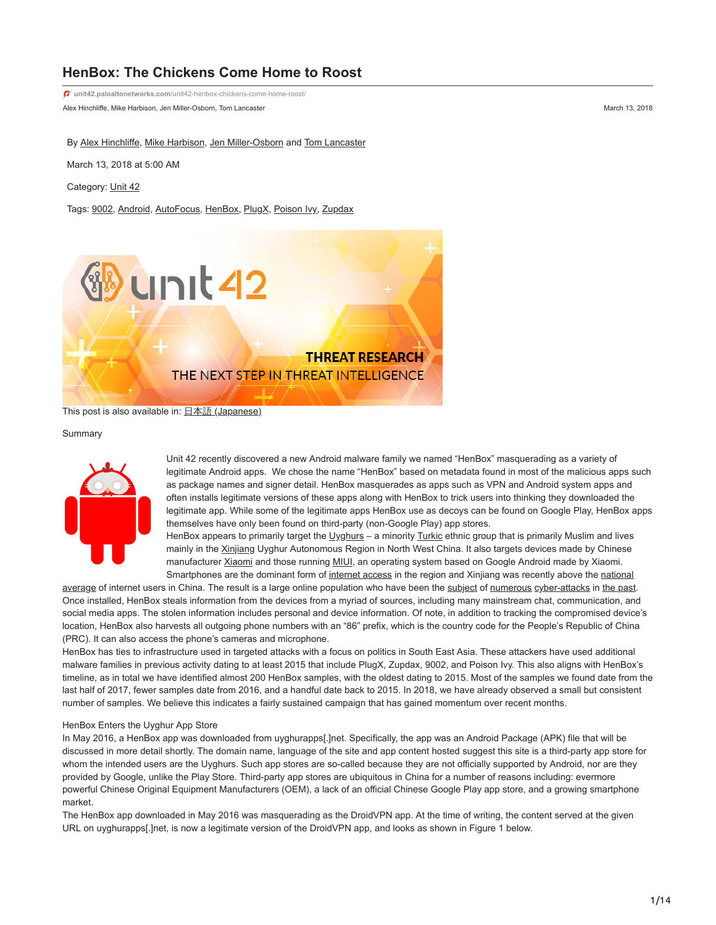# **HenBox: The Chickens Come Home to Roost**

Alex Hinchliffe, Mike Harbison, Jen Miller-Osborn, Tom Lancaster March 13, 2018 **unit42.paloaltonetworks.com**[/unit42-henbox-chickens-come-home-roost/](https://unit42.paloaltonetworks.com/unit42-henbox-chickens-come-home-roost/)

By [Alex Hinchliffe](https://unit42.paloaltonetworks.com/author/alex-hinchliffe/), [Mike Harbison,](https://unit42.paloaltonetworks.com/author/mike-harbison/) [Jen Miller-Osborn](https://unit42.paloaltonetworks.com/author/jen-miller-osborn/) and [Tom Lancaster](https://unit42.paloaltonetworks.com/author/tom-lancaster/)

March 13, 2018 at 5:00 AM

Category: [Unit 42](https://unit42.paloaltonetworks.com/category/unit42/)

Tags: [9002](https://unit42.paloaltonetworks.com/tag/9002/), [Android](https://unit42.paloaltonetworks.com/tag/android/), [AutoFocus](https://unit42.paloaltonetworks.com/tag/autofocus/), [HenBox](https://unit42.paloaltonetworks.com/tag/henbox/), [PlugX,](https://unit42.paloaltonetworks.com/tag/plugx/) [Poison Ivy](https://unit42.paloaltonetworks.com/tag/poison-ivy/), [Zupdax](https://unit42.paloaltonetworks.com/tag/zupdax/)



This post is also available in: 日本語 [\(Japanese\)](https://unit42.paloaltonetworks.jp/unit42-henbox-chickens-come-home-roost/)

#### Summary



Unit 42 recently discovered a new Android malware family we named "HenBox" masquerading as a variety of legitimate Android apps. We chose the name "HenBox" based on metadata found in most of the malicious apps such as package names and signer detail. HenBox masquerades as apps such as VPN and Android system apps and often installs legitimate versions of these apps along with HenBox to trick users into thinking they downloaded the legitimate app. While some of the legitimate apps HenBox use as decoys can be found on Google Play, HenBox apps themselves have only been found on third-party (non-Google Play) app stores.

HenBox appears to primarily target the Uvghurs – a minority [Turkic](https://en.wikipedia.org/wiki/Turkic_peoples) ethnic group that is primarily Muslim and lives mainly in the [Xinjiang](https://en.wikipedia.org/wiki/Xinjiang) Uyghur Autonomous Region in North West China. It also targets devices made by Chinese manufacturer [Xiaomi](https://en.wikipedia.org/wiki/Xiaomi) and those running [MIUI,](https://en.wikipedia.org/wiki/MIUI) an operating system based on Google Android made by Xiaomi. [Smartphones are the dominant form of internet access in the region and Xinjiang was recently above the national](http://www.chinadaily.com.cn/business/tech/2017-07/08/content_30041010.htm)

average of internet users in China. The result is a large online population who have been the [subject](http://www.rfa.org/english/news/uyghur/hackers-09062012153043.html) of [numerous](https://securelist.com/cyber-attacks-against-uyghur-mac-os-x-users-intensify/64259/) [cyber-attacks](https://securityledger.com/2014/08/study-finds-unrelenting-cyber-attacks-against-chinas-uyghurs/) in [the past.](https://blog.paloaltonetworks.com/2016/01/scarlet-mimic-years-long-espionage-targets-minority-activists/) Once installed, HenBox steals information from the devices from a myriad of sources, including many mainstream chat, communication, and social media apps. The stolen information includes personal and device information. Of note, in addition to tracking the compromised device's location, HenBox also harvests all outgoing phone numbers with an "86" prefix, which is the country code for the People's Republic of China (PRC). It can also access the phone's cameras and microphone.

HenBox has ties to infrastructure used in targeted attacks with a focus on politics in South East Asia. These attackers have used additional malware families in previous activity dating to at least 2015 that include PlugX, Zupdax, 9002, and Poison Ivy. This also aligns with HenBox's timeline, as in total we have identified almost 200 HenBox samples, with the oldest dating to 2015. Most of the samples we found date from the last half of 2017, fewer samples date from 2016, and a handful date back to 2015. In 2018, we have already observed a small but consistent number of samples. We believe this indicates a fairly sustained campaign that has gained momentum over recent months.

#### HenBox Enters the Uyghur App Store

In May 2016, a HenBox app was downloaded from uyghurapps[.]net. Specifically, the app was an Android Package (APK) file that will be discussed in more detail shortly. The domain name, language of the site and app content hosted suggest this site is a third-party app store for whom the intended users are the Uyghurs. Such app stores are so-called because they are not officially supported by Android, nor are they provided by Google, unlike the Play Store. Third-party app stores are ubiquitous in China for a number of reasons including: evermore powerful Chinese Original Equipment Manufacturers (OEM), a lack of an official Chinese Google Play app store, and a growing smartphone market.

The HenBox app downloaded in May 2016 was masquerading as the DroidVPN app. At the time of writing, the content served at the given URL on uyghurapps[.]net, is now a legitimate version of the DroidVPN app, and looks as shown in Figure 1 below.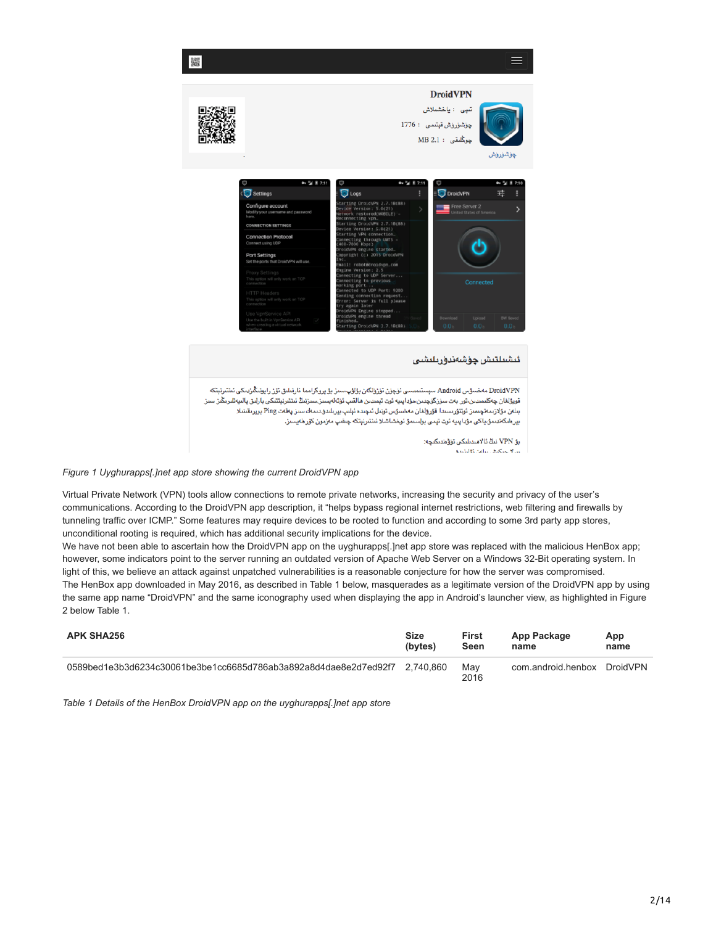

# *Figure 1 Uyghurapps[.]net app store showing the current DroidVPN app*

Virtual Private Network (VPN) tools allow connections to remote private networks, increasing the security and privacy of the user's communications. According to the DroidVPN app description, it "helps bypass regional internet restrictions, web filtering and firewalls by tunneling traffic over ICMP." Some features may require devices to be rooted to function and according to some 3rd party app stores, unconditional rooting is required, which has additional security implications for the device.

We have not been able to ascertain how the DroidVPN app on the uyghurapps[.]net app store was replaced with the malicious HenBox app; however, some indicators point to the server running an outdated version of Apache Web Server on a Windows 32-Bit operating system. In light of this, we believe an attack against unpatched vulnerabilities is a reasonable conjecture for how the server was compromised. The HenBox app downloaded in May 2016, as described in Table 1 below, masquerades as a legitimate version of the DroidVPN app by using the same app name "DroidVPN" and the same iconography used when displaying the app in Android's launcher view, as highlighted in Figure 2 below Table 1.

| <b>APK SHA256</b>                                                | <b>Size</b> | <b>First</b> | App Package        | App      |
|------------------------------------------------------------------|-------------|--------------|--------------------|----------|
|                                                                  | (bytes)     | Seen         | name               | name     |
| 0589bed1e3b3d6234c30061be3be1cc6685d786ab3a892a8d4dae8e2d7ed92f7 | 2.740.860   | May<br>2016  | com.android.henbox | DroidVPN |

*Table 1 Details of the HenBox DroidVPN app on the uyghurapps[.]net app store*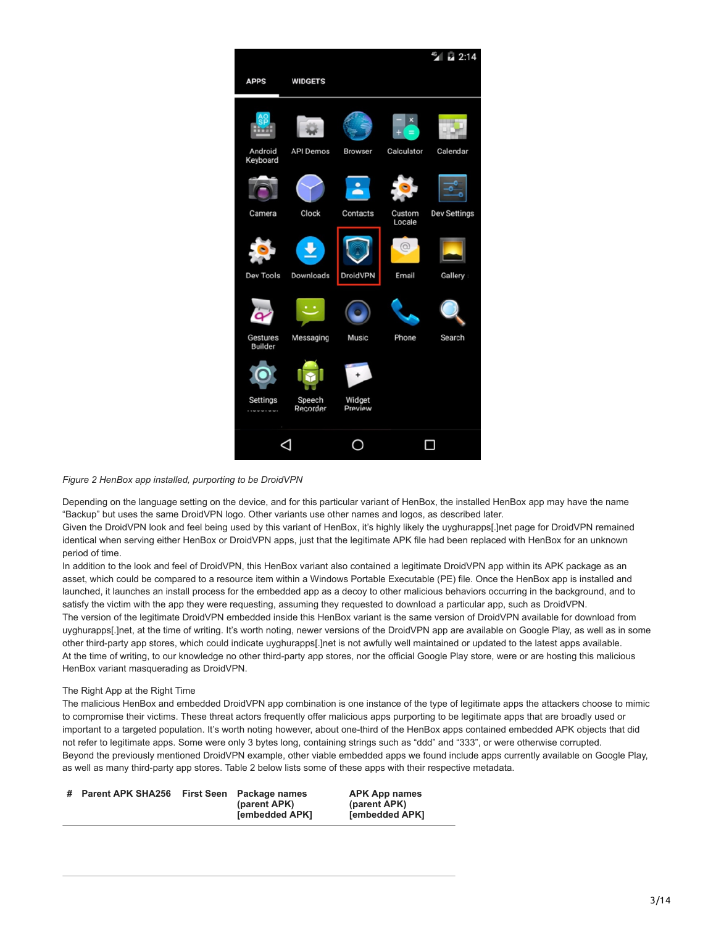

# *Figure 2 HenBox app installed, purporting to be DroidVPN*

Depending on the language setting on the device, and for this particular variant of HenBox, the installed HenBox app may have the name "Backup" but uses the same DroidVPN logo. Other variants use other names and logos, as described later.

Given the DroidVPN look and feel being used by this variant of HenBox, it's highly likely the uyghurapps[.]net page for DroidVPN remained identical when serving either HenBox or DroidVPN apps, just that the legitimate APK file had been replaced with HenBox for an unknown period of time.

In addition to the look and feel of DroidVPN, this HenBox variant also contained a legitimate DroidVPN app within its APK package as an asset, which could be compared to a resource item within a Windows Portable Executable (PE) file. Once the HenBox app is installed and launched, it launches an install process for the embedded app as a decoy to other malicious behaviors occurring in the background, and to satisfy the victim with the app they were requesting, assuming they requested to download a particular app, such as DroidVPN. The version of the legitimate DroidVPN embedded inside this HenBox variant is the same version of DroidVPN available for download from uyghurapps[.]net, at the time of writing. It's worth noting, newer versions of the DroidVPN app are available on Google Play, as well as in some other third-party app stores, which could indicate uyghurapps[.]net is not awfully well maintained or updated to the latest apps available. At the time of writing, to our knowledge no other third-party app stores, nor the official Google Play store, were or are hosting this malicious HenBox variant masquerading as DroidVPN.

# The Right App at the Right Time

The malicious HenBox and embedded DroidVPN app combination is one instance of the type of legitimate apps the attackers choose to mimic to compromise their victims. These threat actors frequently offer malicious apps purporting to be legitimate apps that are broadly used or important to a targeted population. It's worth noting however, about one-third of the HenBox apps contained embedded APK objects that did not refer to legitimate apps. Some were only 3 bytes long, containing strings such as "ddd" and "333", or were otherwise corrupted. Beyond the previously mentioned DroidVPN example, other viable embedded apps we found include apps currently available on Google Play, as well as many third-party app stores. Table 2 below lists some of these apps with their respective metadata.

| # Parent APK SHA256<br><b>First Seen</b> Package names<br>(parent APK)<br><b>[embedded APK]</b> | <b>APK App names</b><br>(parent APK)<br><b>[embedded APK]</b> |
|-------------------------------------------------------------------------------------------------|---------------------------------------------------------------|
|-------------------------------------------------------------------------------------------------|---------------------------------------------------------------|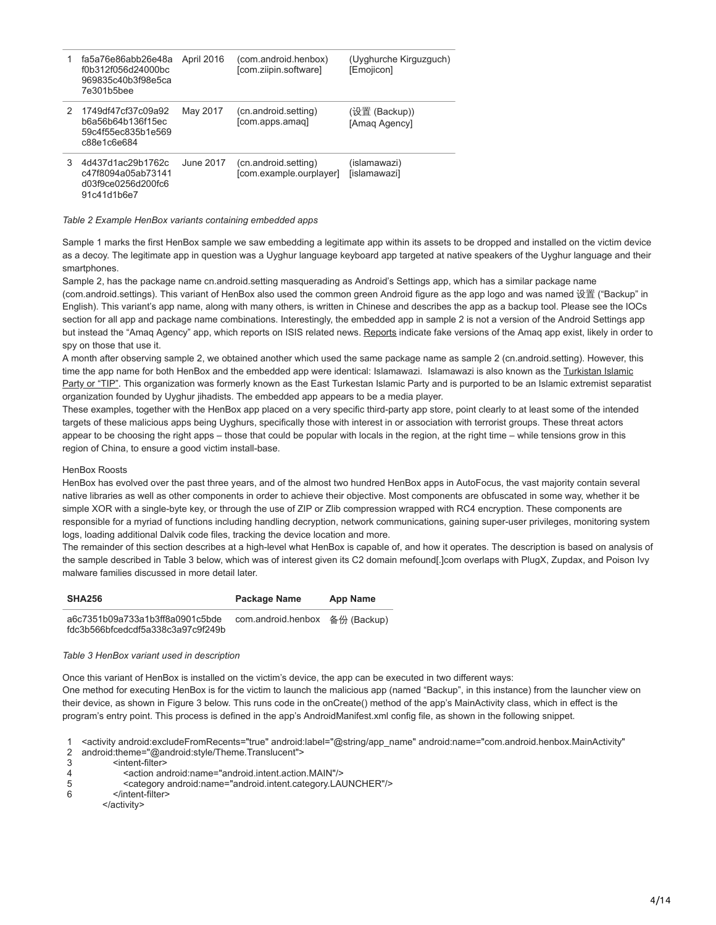|   | fa5a76e86abb26e48a<br>f0b312f056d24000bc<br>969835c40b3f98e5ca<br>7e301b5bee | April 2016 | (com.android.henbox)<br>[com.ziipin.software]   | (Uyghurche Kirguzguch)<br>[Emojicon] |
|---|------------------------------------------------------------------------------|------------|-------------------------------------------------|--------------------------------------|
| 2 | 1749df47cf37c09a92<br>b6a56b64b136f15ec<br>59c4f55ec835b1e569<br>c88e1c6e684 | May 2017   | (cn.android.setting)<br>[com.apps.amag]         | (设置 (Backup))<br>[Amag Agency]       |
| 3 | 4d437d1ac29b1762c<br>c47f8094a05ab73141<br>d03f9ce0256d200fc6<br>91c41d1b6e7 | June 2017  | (cn.android.setting)<br>[com.example.ourplayer] | (islamawazi)<br>[islamawazi]         |

*Table 2 Example HenBox variants containing embedded apps*

Sample 1 marks the first HenBox sample we saw embedding a legitimate app within its assets to be dropped and installed on the victim device as a decoy. The legitimate app in question was a Uyghur language keyboard app targeted at native speakers of the Uyghur language and their smartphones.

Sample 2, has the package name cn.android.setting masquerading as Android's Settings app, which has a similar package name (com.android.settings). This variant of HenBox also used the common green Android figure as the app logo and was named 设置 ("Backup" in English). This variant's app name, along with many others, is written in Chinese and describes the app as a backup tool. Please see the IOCs section for all app and package name combinations. Interestingly, the embedded app in sample 2 is not a version of the Android Settings app but instead the "Amaq Agency" app, which reports on ISIS related news. [Reports](http://www.ibtimes.co.uk/islamic-state-fake-version-isis-news-app-amaq-android-spying-its-supporters-1563313) indicate fake versions of the Amaq app exist, likely in order to spy on those that use it.

A month after observing sample 2, we obtained another which used the same package name as sample 2 (cn.android.setting). However, this [time the app name for both HenBox and the embedded app were identical: Islamawazi. Islamawazi is also known as the Turkistan Islamic](https://en.wikipedia.org/wiki/Turkistan_Islamic_Party) Party or "TIP". This organization was formerly known as the East Turkestan Islamic Party and is purported to be an Islamic extremist separatist organization founded by Uyghur jihadists. The embedded app appears to be a media player.

These examples, together with the HenBox app placed on a very specific third-party app store, point clearly to at least some of the intended targets of these malicious apps being Uyghurs, specifically those with interest in or association with terrorist groups. These threat actors appear to be choosing the right apps – those that could be popular with locals in the region, at the right time – while tensions grow in this region of China, to ensure a good victim install-base.

# HenBox Roosts

HenBox has evolved over the past three years, and of the almost two hundred HenBox apps in AutoFocus, the vast majority contain several native libraries as well as other components in order to achieve their objective. Most components are obfuscated in some way, whether it be simple XOR with a single-byte key, or through the use of ZIP or Zlib compression wrapped with RC4 encryption. These components are responsible for a myriad of functions including handling decryption, network communications, gaining super-user privileges, monitoring system logs, loading additional Dalvik code files, tracking the device location and more.

The remainder of this section describes at a high-level what HenBox is capable of, and how it operates. The description is based on analysis of the sample described in Table 3 below, which was of interest given its C2 domain mefound[.]com overlaps with PlugX, Zupdax, and Poison Ivy malware families discussed in more detail later.

| <b>SHA256</b>                                                        | Package Name       | App Name    |
|----------------------------------------------------------------------|--------------------|-------------|
| a6c7351b09a733a1b3ff8a0901c5bde<br>fdc3b566bfcedcdf5a338c3a97c9f249b | com.android.henbox | 备份 (Backup) |

# *Table 3 HenBox variant used in description*

Once this variant of HenBox is installed on the victim's device, the app can be executed in two different ways:

One method for executing HenBox is for the victim to launch the malicious app (named "Backup", in this instance) from the launcher view on their device, as shown in Figure 3 below. This runs code in the onCreate() method of the app's MainActivity class, which in effect is the program's entry point. This process is defined in the app's AndroidManifest.xml config file, as shown in the following snippet.

1 <activity android:excludeFromRecents="true" android:label="@string/app\_name" android:name="com.android.henbox.MainActivity"

2 android:theme="@android:style/Theme.Translucent">

3 <intent-filter>

- 4 <action android:name="android.intent.action.MAIN"/>
- 5 <category android:name="android.intent.category.LAUNCHER"/>

6 </intent-filter>

</activity>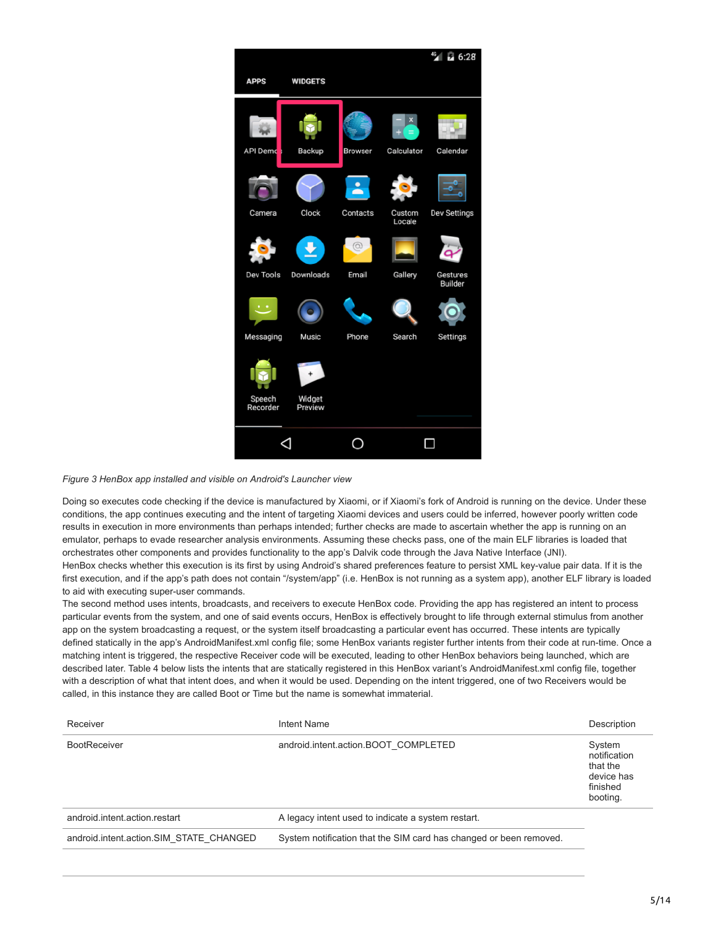

# *Figure 3 HenBox app installed and visible on Android's Launcher view*

Doing so executes code checking if the device is manufactured by Xiaomi, or if Xiaomi's fork of Android is running on the device. Under these conditions, the app continues executing and the intent of targeting Xiaomi devices and users could be inferred, however poorly written code results in execution in more environments than perhaps intended; further checks are made to ascertain whether the app is running on an emulator, perhaps to evade researcher analysis environments. Assuming these checks pass, one of the main ELF libraries is loaded that orchestrates other components and provides functionality to the app's Dalvik code through the Java Native Interface (JNI). HenBox checks whether this execution is its first by using Android's shared preferences feature to persist XML key-value pair data. If it is the first execution, and if the app's path does not contain "/system/app" (i.e. HenBox is not running as a system app), another ELF library is loaded to aid with executing super-user commands.

The second method uses intents, broadcasts, and receivers to execute HenBox code. Providing the app has registered an intent to process particular events from the system, and one of said events occurs, HenBox is effectively brought to life through external stimulus from another app on the system broadcasting a request, or the system itself broadcasting a particular event has occurred. These intents are typically defined statically in the app's AndroidManifest.xml config file; some HenBox variants register further intents from their code at run-time. Once a matching intent is triggered, the respective Receiver code will be executed, leading to other HenBox behaviors being launched, which are described later. Table 4 below lists the intents that are statically registered in this HenBox variant's AndroidManifest.xml config file, together with a description of what that intent does, and when it would be used. Depending on the intent triggered, one of two Receivers would be called, in this instance they are called Boot or Time but the name is somewhat immaterial.

| Receiver                                | Intent Name                                                        | Description                                                              |
|-----------------------------------------|--------------------------------------------------------------------|--------------------------------------------------------------------------|
| <b>BootReceiver</b>                     | android.intent.action.BOOT COMPLETED                               | System<br>notification<br>that the<br>device has<br>finished<br>booting. |
| android.intent.action.restart           | A legacy intent used to indicate a system restart.                 |                                                                          |
| android.intent.action.SIM STATE CHANGED | System notification that the SIM card has changed or been removed. |                                                                          |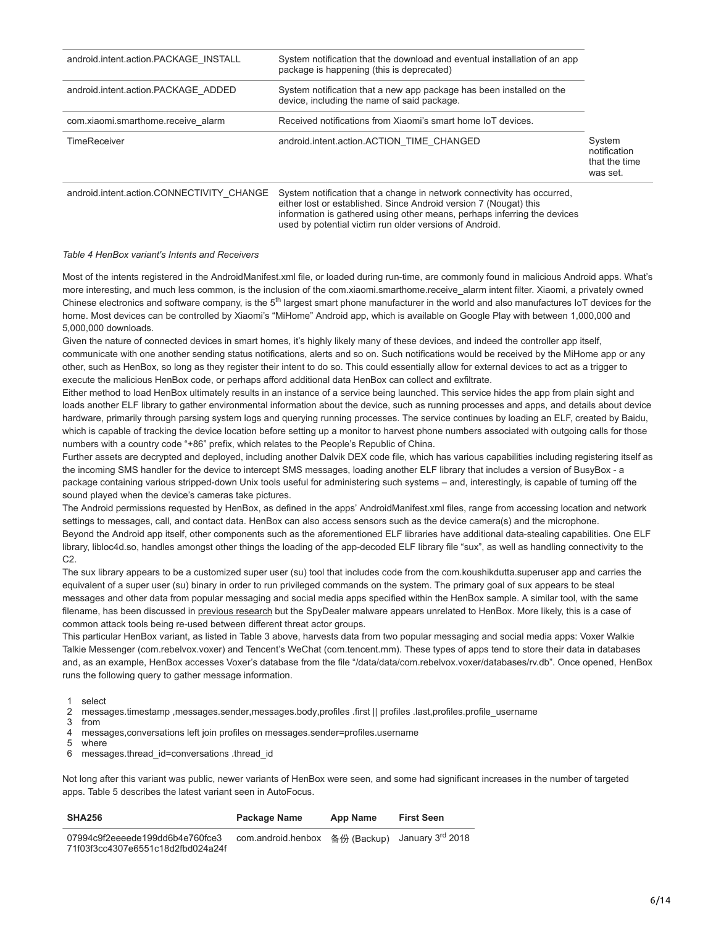| android.intent.action.PACKAGE INSTALL     | System notification that the download and eventual installation of an app<br>package is happening (this is deprecated)                                                                                                   |                                                     |
|-------------------------------------------|--------------------------------------------------------------------------------------------------------------------------------------------------------------------------------------------------------------------------|-----------------------------------------------------|
| android.intent.action.PACKAGE ADDED       | System notification that a new app package has been installed on the<br>device, including the name of said package.                                                                                                      |                                                     |
| com.xiaomi.smarthome.receive alarm        | Received notifications from Xiaomi's smart home IoT devices.                                                                                                                                                             |                                                     |
| <b>TimeReceiver</b>                       | android.intent.action.ACTION TIME CHANGED                                                                                                                                                                                | System<br>notification<br>that the time<br>was set. |
| android.intent.action.CONNECTIVITY CHANGE | System notification that a change in network connectivity has occurred,<br>either lost or established. Since Android version 7 (Nougat) this<br>information is gathered using other means, perhaps inferring the devices |                                                     |

# *Table 4 HenBox variant's Intents and Receivers*

Most of the intents registered in the AndroidManifest.xml file, or loaded during run-time, are commonly found in malicious Android apps. What's more interesting, and much less common, is the inclusion of the com.xiaomi.smarthome.receive\_alarm intent filter. Xiaomi, a privately owned Chinese electronics and software company, is the  $5<sup>th</sup>$  largest smart phone manufacturer in the world and also manufactures IoT devices for the home. Most devices can be controlled by Xiaomi's "MiHome" Android app, which is available on Google Play with between 1,000,000 and 5,000,000 downloads.

used by potential victim run older versions of Android.

Given the nature of connected devices in smart homes, it's highly likely many of these devices, and indeed the controller app itself, communicate with one another sending status notifications, alerts and so on. Such notifications would be received by the MiHome app or any other, such as HenBox, so long as they register their intent to do so. This could essentially allow for external devices to act as a trigger to execute the malicious HenBox code, or perhaps afford additional data HenBox can collect and exfiltrate.

Either method to load HenBox ultimately results in an instance of a service being launched. This service hides the app from plain sight and loads another ELF library to gather environmental information about the device, such as running processes and apps, and details about device hardware, primarily through parsing system logs and querying running processes. The service continues by loading an ELF, created by Baidu, which is capable of tracking the device location before setting up a monitor to harvest phone numbers associated with outgoing calls for those numbers with a country code "+86" prefix, which relates to the People's Republic of China.

Further assets are decrypted and deployed, including another Dalvik DEX code file, which has various capabilities including registering itself as the incoming SMS handler for the device to intercept SMS messages, loading another ELF library that includes a version of BusyBox - a package containing various stripped-down Unix tools useful for administering such systems – and, interestingly, is capable of turning off the sound played when the device's cameras take pictures.

The Android permissions requested by HenBox, as defined in the apps' AndroidManifest.xml files, range from accessing location and network settings to messages, call, and contact data. HenBox can also access sensors such as the device camera(s) and the microphone. Beyond the Android app itself, other components such as the aforementioned ELF libraries have additional data-stealing capabilities. One ELF library, libloc4d.so, handles amongst other things the loading of the app-decoded ELF library file "sux", as well as handling connectivity to the C2.

The sux library appears to be a customized super user (su) tool that includes code from the com.koushikdutta.superuser app and carries the equivalent of a super user (su) binary in order to run privileged commands on the system. The primary goal of sux appears to be steal messages and other data from popular messaging and social media apps specified within the HenBox sample. A similar tool, with the same filename, has been discussed in [previous research](https://blog.paloaltonetworks.com/2017/07/unit42-spydealer-android-trojan-spying-40-apps/) but the SpyDealer malware appears unrelated to HenBox. More likely, this is a case of common attack tools being re-used between different threat actor groups.

This particular HenBox variant, as listed in Table 3 above, harvests data from two popular messaging and social media apps: Voxer Walkie Talkie Messenger (com.rebelvox.voxer) and Tencent's WeChat (com.tencent.mm). These types of apps tend to store their data in databases and, as an example, HenBox accesses Voxer's database from the file "/data/data/com.rebelvox.voxer/databases/rv.db". Once opened, HenBox runs the following query to gather message information.

1 select

 $\mathfrak{p}$ messages.timestamp ,messages.sender,messages.body,profiles .first || profiles .last,profiles.profile\_username

3 from

4 messages,conversations left join profiles on messages.sender=profiles.username

5 where

6 messages.thread\_id=conversations .thread\_id

Not long after this variant was public, newer variants of HenBox were seen, and some had significant increases in the number of targeted apps. Table 5 describes the latest variant seen in AutoFocus.

| <b>SHA256</b>                                                        | Package Name       | App Name | <b>First Seen</b>                        |
|----------------------------------------------------------------------|--------------------|----------|------------------------------------------|
| 07994c9f2eeeede199dd6b4e760fce3<br>71f03f3cc4307e6551c18d2fbd024a24f | com.android.henbox |          | 备份 (Backup) January 3 <sup>rd</sup> 2018 |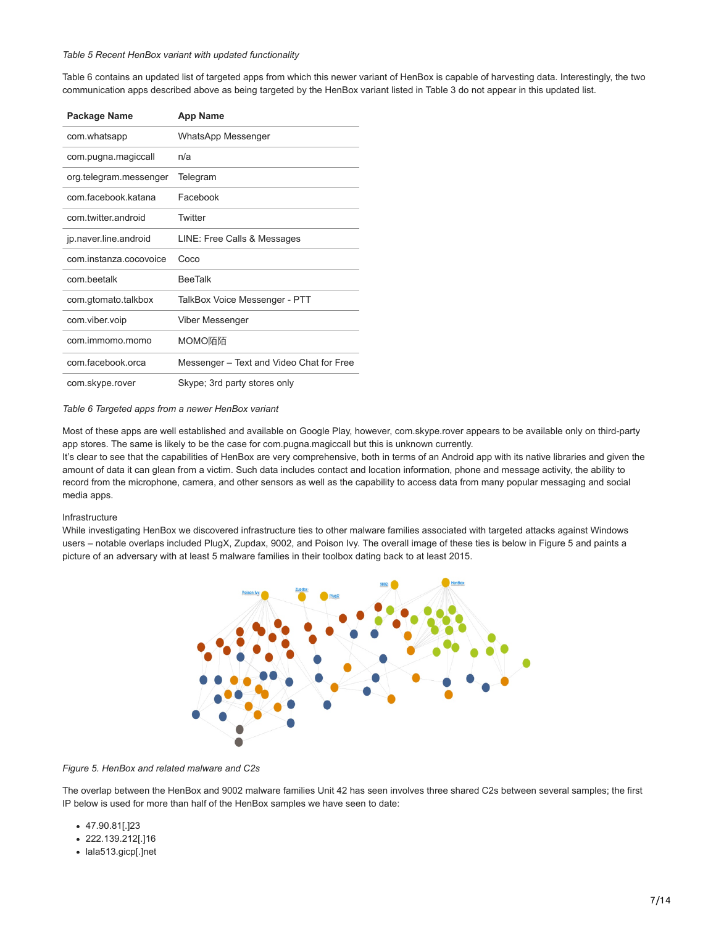#### *Table 5 Recent HenBox variant with updated functionality*

Table 6 contains an updated list of targeted apps from which this newer variant of HenBox is capable of harvesting data. Interestingly, the two communication apps described above as being targeted by the HenBox variant listed in Table 3 do not appear in this updated list.

| Package Name           | App Name                                 |
|------------------------|------------------------------------------|
| com.whatsapp           | WhatsApp Messenger                       |
| com.pugna.magiccall    | n/a                                      |
| org.telegram.messenger | Telegram                                 |
| com facebook katana    | Facebook                                 |
| com twitter android    | Twitter                                  |
| jp.naver.line.android  | LINE: Free Calls & Messages              |
| com.instanza.cocovoice | Coco                                     |
| com beetalk            | <b>BeeTalk</b>                           |
| com.gtomato.talkbox    | TalkBox Voice Messenger - PTT            |
| com.viber.voip         | Viber Messenger                          |
| com.immomo.momo        | MOMO陌陌                                   |
| com.facebook.orca      | Messenger – Text and Video Chat for Free |
| com.skype.rover        | Skype; 3rd party stores only             |

#### *Table 6 Targeted apps from a newer HenBox variant*

Most of these apps are well established and available on Google Play, however, com.skype.rover appears to be available only on third-party app stores. The same is likely to be the case for com.pugna.magiccall but this is unknown currently.

It's clear to see that the capabilities of HenBox are very comprehensive, both in terms of an Android app with its native libraries and given the amount of data it can glean from a victim. Such data includes contact and location information, phone and message activity, the ability to record from the microphone, camera, and other sensors as well as the capability to access data from many popular messaging and social media apps.

#### Infrastructure

While investigating HenBox we discovered infrastructure ties to other malware families associated with targeted attacks against Windows users – notable overlaps included PlugX, Zupdax, 9002, and Poison Ivy. The overall image of these ties is below in Figure 5 and paints a picture of an adversary with at least 5 malware families in their toolbox dating back to at least 2015.



#### *Figure 5. HenBox and related malware and C2s*

The overlap between the HenBox and 9002 malware families Unit 42 has seen involves three shared C2s between several samples; the first IP below is used for more than half of the HenBox samples we have seen to date:

- 47.90.81[.]23
- 222.139.212[.]16
- lala513.gicp[.]net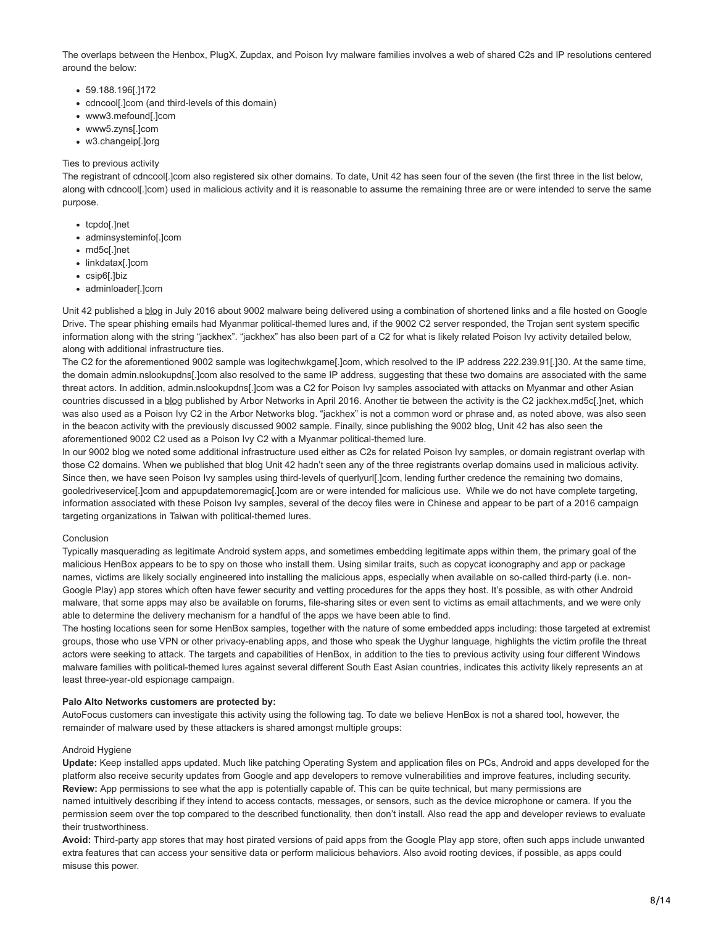The overlaps between the Henbox, PlugX, Zupdax, and Poison Ivy malware families involves a web of shared C2s and IP resolutions centered around the below:

- 59.188.196[.]172
- cdncool[.]com (and third-levels of this domain)
- www3.mefound[.]com
- www5.zyns[.]com
- w3.changeip[.]org

# Ties to previous activity

The registrant of cdncool[.]com also registered six other domains. To date, Unit 42 has seen four of the seven (the first three in the list below, along with cdncool[.]com) used in malicious activity and it is reasonable to assume the remaining three are or were intended to serve the same purpose.

- tcpdo[.]net
- adminsysteminfo[.]com
- md5c[.]net
- linkdatax[.]com
- csip6[.]biz
- adminloader[.]com

Unit 42 published a [blog](https://blog.paloaltonetworks.com/2016/07/unit-42-attack-delivers-9002-trojan-through-google-drive/) in July 2016 about 9002 malware being delivered using a combination of shortened links and a file hosted on Google Drive. The spear phishing emails had Myanmar political-themed lures and, if the 9002 C2 server responded, the Trojan sent system specific information along with the string "jackhex". "jackhex" has also been part of a C2 for what is likely related Poison Ivy activity detailed below, along with additional infrastructure ties.

The C2 for the aforementioned 9002 sample was logitechwkgame[.]com, which resolved to the IP address 222.239.91[.]30. At the same time, the domain admin.nslookupdns[.]com also resolved to the same IP address, suggesting that these two domains are associated with the same threat actors. In addition, admin.nslookupdns[.]com was a C2 for Poison Ivy samples associated with attacks on Myanmar and other Asian countries discussed in a [blog](https://www.arbornetworks.com/blog/asert/recent-poison-iv/) published by Arbor Networks in April 2016. Another tie between the activity is the C2 jackhex.md5c[.]net, which was also used as a Poison Ivy C2 in the Arbor Networks blog. "jackhex" is not a common word or phrase and, as noted above, was also seen in the beacon activity with the previously discussed 9002 sample. Finally, since publishing the 9002 blog, Unit 42 has also seen the aforementioned 9002 C2 used as a Poison Ivy C2 with a Myanmar political-themed lure.

In our 9002 blog we noted some additional infrastructure used either as C2s for related Poison Ivy samples, or domain registrant overlap with those C2 domains. When we published that blog Unit 42 hadn't seen any of the three registrants overlap domains used in malicious activity. Since then, we have seen Poison Ivy samples using third-levels of querlyurl[.]com, lending further credence the remaining two domains, gooledriveservice[.]com and appupdatemoremagic[.]com are or were intended for malicious use. While we do not have complete targeting, information associated with these Poison Ivy samples, several of the decoy files were in Chinese and appear to be part of a 2016 campaign targeting organizations in Taiwan with political-themed lures.

# Conclusion

Typically masquerading as legitimate Android system apps, and sometimes embedding legitimate apps within them, the primary goal of the malicious HenBox appears to be to spy on those who install them. Using similar traits, such as copycat iconography and app or package names, victims are likely socially engineered into installing the malicious apps, especially when available on so-called third-party (i.e. non-Google Play) app stores which often have fewer security and vetting procedures for the apps they host. It's possible, as with other Android malware, that some apps may also be available on forums, file-sharing sites or even sent to victims as email attachments, and we were only able to determine the delivery mechanism for a handful of the apps we have been able to find.

The hosting locations seen for some HenBox samples, together with the nature of some embedded apps including: those targeted at extremist groups, those who use VPN or other privacy-enabling apps, and those who speak the Uyghur language, highlights the victim profile the threat actors were seeking to attack. The targets and capabilities of HenBox, in addition to the ties to previous activity using four different Windows malware families with political-themed lures against several different South East Asian countries, indicates this activity likely represents an at least three-year-old espionage campaign.

# **Palo Alto Networks customers are protected by:**

AutoFocus customers can investigate this activity using the following tag. To date we believe HenBox is not a shared tool, however, the remainder of malware used by these attackers is shared amongst multiple groups:

# Android Hygiene

**Update:** Keep installed apps updated. Much like patching Operating System and application files on PCs, Android and apps developed for the platform also receive security updates from Google and app developers to remove vulnerabilities and improve features, including security. **Review:** App permissions to see what the app is potentially capable of. This can be quite technical, but many permissions are named intuitively describing if they intend to access contacts, messages, or sensors, such as the device microphone or camera. If you the permission seem over the top compared to the described functionality, then don't install. Also read the app and developer reviews to evaluate

their trustworthiness.

**Avoid:** Third-party app stores that may host pirated versions of paid apps from the Google Play app store, often such apps include unwanted extra features that can access your sensitive data or perform malicious behaviors. Also avoid rooting devices, if possible, as apps could misuse this power.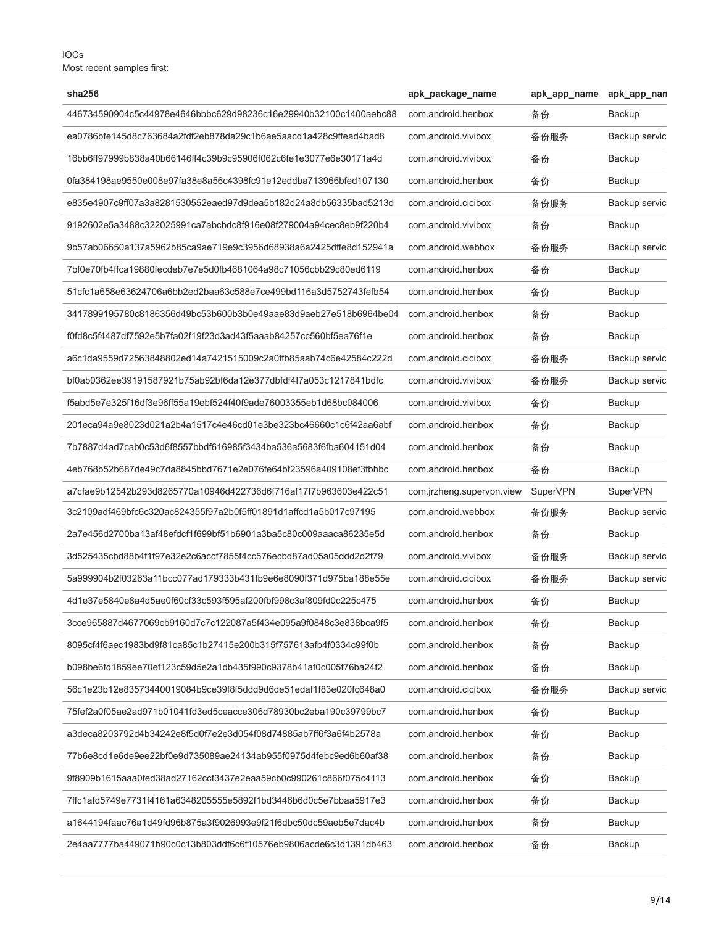IOCs Most recent samples first:

| sha256                                                           | apk_package_name          | apk_app_name    | apk_app_nan     |
|------------------------------------------------------------------|---------------------------|-----------------|-----------------|
| 446734590904c5c44978e4646bbbc629d98236c16e29940b32100c1400aebc88 | com.android.henbox        | 备份              | Backup          |
| ea0786bfe145d8c763684a2fdf2eb878da29c1b6ae5aacd1a428c9ffead4bad8 | com.android.vivibox       | 备份服务            | Backup servic   |
| 16bb6ff97999b838a40b66146ff4c39b9c95906f062c6fe1e3077e6e30171a4d | com.android.vivibox       | 备份              | Backup          |
| 0fa384198ae9550e008e97fa38e8a56c4398fc91e12eddba713966bfed107130 | com.android.henbox        | 备份              | Backup          |
| e835e4907c9ff07a3a8281530552eaed97d9dea5b182d24a8db56335bad5213d | com.android.cicibox       | 备份服务            | Backup servic   |
| 9192602e5a3488c322025991ca7abcbdc8f916e08f279004a94cec8eb9f220b4 | com.android.vivibox       | 备份              | Backup          |
| 9b57ab06650a137a5962b85ca9ae719e9c3956d68938a6a2425dffe8d152941a | com.android.webbox        | 备份服务            | Backup servic   |
| 7bf0e70fb4ffca19880fecdeb7e7e5d0fb4681064a98c71056cbb29c80ed6119 | com.android.henbox        | 备份              | Backup          |
| 51cfc1a658e63624706a6bb2ed2baa63c588e7ce499bd116a3d5752743fefb54 | com.android.henbox        | 备份              | Backup          |
| 3417899195780c8186356d49bc53b600b3b0e49aae83d9aeb27e518b6964be04 | com.android.henbox        | 备份              | Backup          |
| f0fd8c5f4487df7592e5b7fa02f19f23d3ad43f5aaab84257cc560bf5ea76f1e | com.android.henbox        | 备份              | Backup          |
| a6c1da9559d72563848802ed14a7421515009c2a0ffb85aab74c6e42584c222d | com.android.cicibox       | 备份服务            | Backup servic   |
| bf0ab0362ee39191587921b75ab92bf6da12e377dbfdf4f7a053c1217841bdfc | com.android.vivibox       | 备份服务            | Backup servic   |
| f5abd5e7e325f16df3e96ff55a19ebf524f40f9ade76003355eb1d68bc084006 | com.android.vivibox       | 备份              | Backup          |
| 201eca94a9e8023d021a2b4a1517c4e46cd01e3be323bc46660c1c6f42aa6abf | com.android.henbox        | 备份              | Backup          |
| 7b7887d4ad7cab0c53d6f8557bbdf616985f3434ba536a5683f6fba604151d04 | com.android.henbox        | 备份              | Backup          |
| 4eb768b52b687de49c7da8845bbd7671e2e076fe64bf23596a409108ef3fbbbc | com.android.henbox        | 备份              | Backup          |
| a7cfae9b12542b293d8265770a10946d422736d6f716af17f7b963603e422c51 | com.jrzheng.supervpn.view | <b>SuperVPN</b> | <b>SuperVPN</b> |
| 3c2109adf469bfc6c320ac824355f97a2b0f5ff01891d1affcd1a5b017c97195 | com.android.webbox        | 备份服务            | Backup servic   |
| 2a7e456d2700ba13af48efdcf1f699bf51b6901a3ba5c80c009aaaca86235e5d | com.android.henbox        | 备份              | Backup          |
| 3d525435cbd88b4f1f97e32e2c6accf7855f4cc576ecbd87ad05a05ddd2d2f79 | com.android.vivibox       | 备份服务            | Backup servic   |
| 5a999904b2f03263a11bcc077ad179333b431fb9e6e8090f371d975ba188e55e | com.android.cicibox       | 备份服务            | Backup servic   |
| 4d1e37e5840e8a4d5ae0f60cf33c593f595af200fbf998c3af809fd0c225c475 | com.android.henbox        | 备份              | Backup          |
| 3cce965887d4677069cb9160d7c7c122087a5f434e095a9f0848c3e838bca9f5 | com.android.henbox        | 备份              | Backup          |
| 8095cf4f6aec1983bd9f81ca85c1b27415e200b315f757613afb4f0334c99f0b | com.android.henbox        | 备份              | Backup          |
| b098be6fd1859ee70ef123c59d5e2a1db435f990c9378b41af0c005f76ba24f2 | com.android.henbox        | 备份              | Backup          |
| 56c1e23b12e83573440019084b9ce39f8f5ddd9d6de51edaf1f83e020fc648a0 | com.android.cicibox       | 备份服务            | Backup servic   |
| 75fef2a0f05ae2ad971b01041fd3ed5ceacce306d78930bc2eba190c39799bc7 | com.android.henbox        | 备份              | Backup          |
| a3deca8203792d4b34242e8f5d0f7e2e3d054f08d74885ab7ff6f3a6f4b2578a | com.android.henbox        | 备份              | Backup          |
| 77b6e8cd1e6de9ee22bf0e9d735089ae24134ab955f0975d4febc9ed6b60af38 | com.android.henbox        | 备份              | Backup          |
| 9f8909b1615aaa0fed38ad27162ccf3437e2eaa59cb0c990261c866f075c4113 | com.android.henbox        | 备份              | Backup          |
| 7ffc1afd5749e7731f4161a6348205555e5892f1bd3446b6d0c5e7bbaa5917e3 | com.android.henbox        | 备份              | Backup          |
| a1644194faac76a1d49fd96b875a3f9026993e9f21f6dbc50dc59aeb5e7dac4b | com.android.henbox        | 备份              | Backup          |
| 2e4aa7777ba449071b90c0c13b803ddf6c6f10576eb9806acde6c3d1391db463 | com.android.henbox        | 备份              | Backup          |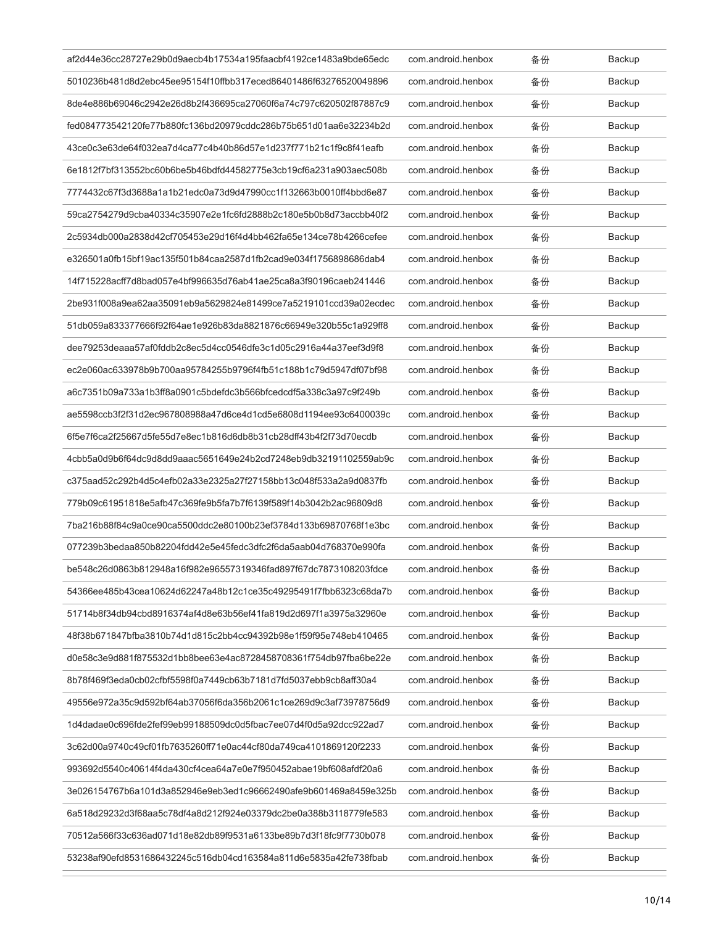| af2d44e36cc28727e29b0d9aecb4b17534a195faacbf4192ce1483a9bde65edc | com.android.henbox | 备份 | Backup        |
|------------------------------------------------------------------|--------------------|----|---------------|
| 5010236b481d8d2ebc45ee95154f10ffbb317eced86401486f63276520049896 | com.android.henbox | 备份 | Backup        |
| 8de4e886b69046c2942e26d8b2f436695ca27060f6a74c797c620502f87887c9 | com.android.henbox | 备份 | <b>Backup</b> |
| fed084773542120fe77b880fc136bd20979cddc286b75b651d01aa6e32234b2d | com.android.henbox | 备份 | Backup        |
| 43ce0c3e63de64f032ea7d4ca77c4b40b86d57e1d237f771b21c1f9c8f41eafb | com.android.henbox | 备份 | <b>Backup</b> |
| 6e1812f7bf313552bc60b6be5b46bdfd44582775e3cb19cf6a231a903aec508b | com.android.henbox | 备份 | <b>Backup</b> |
| 7774432c67f3d3688a1a1b21edc0a73d9d47990cc1f132663b0010ff4bbd6e87 | com.android.henbox | 备份 | Backup        |
| 59ca2754279d9cba40334c35907e2e1fc6fd2888b2c180e5b0b8d73accbb40f2 | com.android.henbox | 备份 | Backup        |
| 2c5934db000a2838d42cf705453e29d16f4d4bb462fa65e134ce78b4266cefee | com.android.henbox | 备份 | Backup        |
| e326501a0fb15bf19ac135f501b84caa2587d1fb2cad9e034f1756898686dab4 | com.android.henbox | 备份 | Backup        |
| 14f715228acff7d8bad057e4bf996635d76ab41ae25ca8a3f90196caeb241446 | com.android.henbox | 备份 | <b>Backup</b> |
| 2be931f008a9ea62aa35091eb9a5629824e81499ce7a5219101ccd39a02ecdec | com.android.henbox | 备份 | Backup        |
| 51db059a833377666f92f64ae1e926b83da8821876c66949e320b55c1a929ff8 | com.android.henbox | 备份 | Backup        |
| dee79253deaaa57af0fddb2c8ec5d4cc0546dfe3c1d05c2916a44a37eef3d9f8 | com.android.henbox | 备份 | <b>Backup</b> |
| ec2e060ac633978b9b700aa95784255b9796f4fb51c188b1c79d5947df07bf98 | com.android.henbox | 备份 | <b>Backup</b> |
| a6c7351b09a733a1b3ff8a0901c5bdefdc3b566bfcedcdf5a338c3a97c9f249b | com.android.henbox | 备份 | Backup        |
| ae5598ccb3f2f31d2ec967808988a47d6ce4d1cd5e6808d1194ee93c6400039c | com.android.henbox | 备份 | <b>Backup</b> |
| 6f5e7f6ca2f25667d5fe55d7e8ec1b816d6db8b31cb28dff43b4f2f73d70ecdb | com.android.henbox | 备份 | <b>Backup</b> |
| 4cbb5a0d9b6f64dc9d8dd9aaac5651649e24b2cd7248eb9db32191102559ab9c | com.android.henbox | 备份 | Backup        |
| c375aad52c292b4d5c4efb02a33e2325a27f27158bb13c048f533a2a9d0837fb | com.android.henbox | 备份 | Backup        |
| 779b09c61951818e5afb47c369fe9b5fa7b7f6139f589f14b3042b2ac96809d8 | com.android.henbox | 备份 | <b>Backup</b> |
| 7ba216b88f84c9a0ce90ca5500ddc2e80100b23ef3784d133b69870768f1e3bc | com.android.henbox | 备份 | Backup        |
| 077239b3bedaa850b82204fdd42e5e45fedc3dfc2f6da5aab04d768370e990fa | com.android.henbox | 备份 | Backup        |
| be548c26d0863b812948a16f982e96557319346fad897f67dc7873108203fdce | com.android.henbox | 备份 | Backup        |
| 54366ee485b43cea10624d62247a48b12c1ce35c49295491f7fbb6323c68da7b | com.android.henbox | 备份 | <b>Backup</b> |
| 51714b8f34db94cbd8916374af4d8e63b56ef41fa819d2d697f1a3975a32960e | com.android.henbox | 备份 | Backup        |
| 48f38b671847bfba3810b74d1d815c2bb4cc94392b98e1f59f95e748eb410465 | com.android.henbox | 备份 | Backup        |
| d0e58c3e9d881f875532d1bb8bee63e4ac8728458708361f754db97fba6be22e | com.android.henbox | 备份 | Backup        |
| 8b78f469f3eda0cb02cfbf5598f0a7449cb63b7181d7fd5037ebb9cb8aff30a4 | com.android.henbox | 备份 | Backup        |
| 49556e972a35c9d592bf64ab37056f6da356b2061c1ce269d9c3af73978756d9 | com.android.henbox | 备份 | <b>Backup</b> |
| 1d4dadae0c696fde2fef99eb99188509dc0d5fbac7ee07d4f0d5a92dcc922ad7 | com.android.henbox | 备份 | Backup        |
| 3c62d00a9740c49cf01fb7635260ff71e0ac44cf80da749ca4101869120f2233 | com.android.henbox | 备份 | Backup        |
| 993692d5540c40614f4da430cf4cea64a7e0e7f950452abae19bf608afdf20a6 | com.android.henbox | 备份 | Backup        |
| 3e026154767b6a101d3a852946e9eb3ed1c96662490afe9b601469a8459e325b | com.android.henbox | 备份 | Backup        |
| 6a518d29232d3f68aa5c78df4a8d212f924e03379dc2be0a388b3118779fe583 | com.android.henbox | 备份 | Backup        |
| 70512a566f33c636ad071d18e82db89f9531a6133be89b7d3f18fc9f7730b078 | com.android.henbox | 备份 | Backup        |
| 53238af90efd8531686432245c516db04cd163584a811d6e5835a42fe738fbab | com.android.henbox | 备份 | Backup        |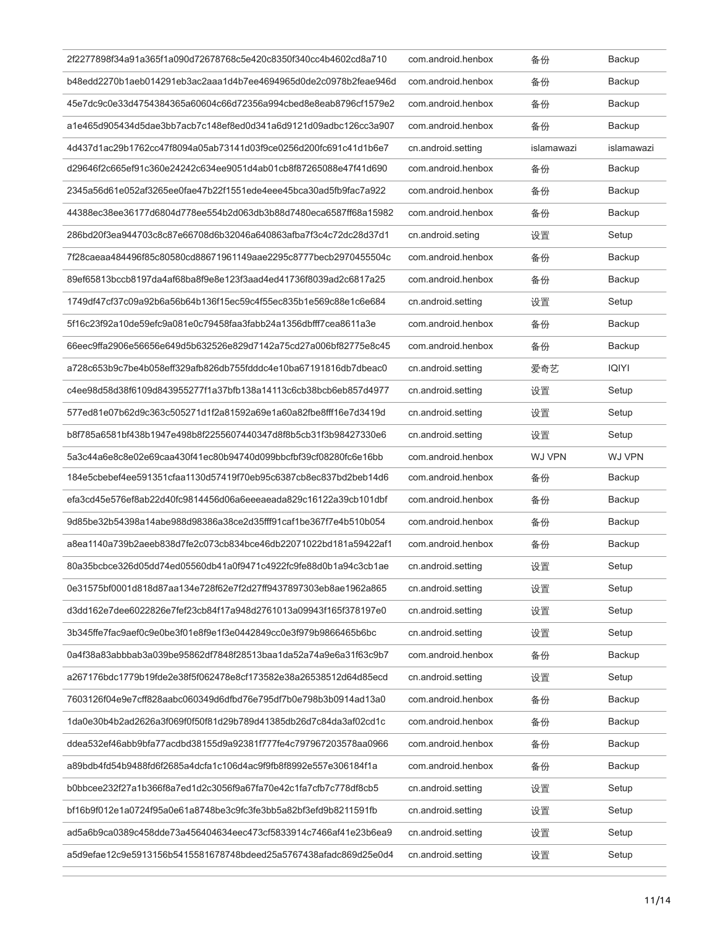| 2f2277898f34a91a365f1a090d72678768c5e420c8350f340cc4b4602cd8a710 | com.android.henbox | 备份            | Backup        |
|------------------------------------------------------------------|--------------------|---------------|---------------|
| b48edd2270b1aeb014291eb3ac2aaa1d4b7ee4694965d0de2c0978b2feae946d | com android henbox | 备份            | Backup        |
| 45e7dc9c0e33d4754384365a60604c66d72356a994cbed8e8eab8796cf1579e2 | com.android.henbox | 备份            | Backup        |
| a1e465d905434d5dae3bb7acb7c148ef8ed0d341a6d9121d09adbc126cc3a907 | com.android.henbox | 备份            | Backup        |
| 4d437d1ac29b1762cc47f8094a05ab73141d03f9ce0256d200fc691c41d1b6e7 | cn.android.setting | islamawazi    | islamawazi    |
| d29646f2c665ef91c360e24242c634ee9051d4ab01cb8f87265088e47f41d690 | com.android.henbox | 备份            | Backup        |
| 2345a56d61e052af3265ee0fae47b22f1551ede4eee45bca30ad5fb9fac7a922 | com.android.henbox | 备份            | Backup        |
| 44388ec38ee36177d6804d778ee554b2d063db3b88d7480eca6587ff68a15982 | com.android.henbox | 备份            | Backup        |
| 286bd20f3ea944703c8c87e66708d6b32046a640863afba7f3c4c72dc28d37d1 | cn.android.seting  | 设置            | Setup         |
| 7f28caeaa484496f85c80580cd88671961149aae2295c8777becb2970455504c | com.android.henbox | 备份            | Backup        |
| 89ef65813bccb8197da4af68ba8f9e8e123f3aad4ed41736f8039ad2c6817a25 | com.android.henbox | 备份            | Backup        |
| 1749df47cf37c09a92b6a56b64b136f15ec59c4f55ec835b1e569c88e1c6e684 | cn.android.setting | 设置            | Setup         |
| 5f16c23f92a10de59efc9a081e0c79458faa3fabb24a1356dbfff7cea8611a3e | com.android.henbox | 备份            | Backup        |
| 66eec9ffa2906e56656e649d5b632526e829d7142a75cd27a006bf82775e8c45 | com.android.henbox | 备份            | Backup        |
| a728c653b9c7be4b058eff329afb826db755fdddc4e10ba67191816db7dbeac0 | cn.android.setting | 爱奇艺           | <b>IQIYI</b>  |
| c4ee98d58d38f6109d843955277f1a37bfb138a14113c6cb38bcb6eb857d4977 | cn.android.setting | 设置            | Setup         |
| 577ed81e07b62d9c363c505271d1f2a81592a69e1a60a82fbe8fff16e7d3419d | cn.android.setting | 设置            | Setup         |
| b8f785a6581bf438b1947e498b8f2255607440347d8f8b5cb31f3b98427330e6 | cn.android.setting | 设置            | Setup         |
| 5a3c44a6e8c8e02e69caa430f41ec80b94740d099bbcfbf39cf08280fc6e16bb | com.android.henbox | <b>WJ VPN</b> | <b>WJ VPN</b> |
| 184e5cbebef4ee591351cfaa1130d57419f70eb95c6387cb8ec837bd2beb14d6 | com.android.henbox | 备份            | Backup        |
| efa3cd45e576ef8ab22d40fc9814456d06a6eeeaeada829c16122a39cb101dbf | com.android.henbox | 备份            | Backup        |
| 9d85be32b54398a14abe988d98386a38ce2d35fff91caf1be367f7e4b510b054 | com.android.henbox | 备份            | Backup        |
| a8ea1140a739b2aeeb838d7fe2c073cb834bce46db22071022bd181a59422af1 | com.android.henbox | 备份            | Backup        |
| 80a35bcbce326d05dd74ed05560db41a0f9471c4922fc9fe88d0b1a94c3cb1ae | cn.android.setting | 设置            | Setup         |
| 0e31575bf0001d818d87aa134e728f62e7f2d27ff9437897303eb8ae1962a865 | cn.android.setting | 设置            | Setup         |
| d3dd162e7dee6022826e7fef23cb84f17a948d2761013a09943f165f378197e0 | cn.android.setting | 设置            | Setup         |
| 3b345ffe7fac9aef0c9e0be3f01e8f9e1f3e0442849cc0e3f979b9866465b6bc | cn.android.setting | 设置            | Setup         |
| 0a4f38a83abbbab3a039be95862df7848f28513baa1da52a74a9e6a31f63c9b7 | com.android.henbox | 备份            | Backup        |
| a267176bdc1779b19fde2e38f5f062478e8cf173582e38a26538512d64d85ecd | cn.android.setting | 设置            | Setup         |
| 7603126f04e9e7cff828aabc060349d6dfbd76e795df7b0e798b3b0914ad13a0 | com.android.henbox | 备份            | Backup        |
| 1da0e30b4b2ad2626a3f069f0f50f81d29b789d41385db26d7c84da3af02cd1c | com.android.henbox | 备份            | Backup        |
| ddea532ef46abb9bfa77acdbd38155d9a92381f777fe4c797967203578aa0966 | com.android.henbox | 备份            | Backup        |
| a89bdb4fd54b9488fd6f2685a4dcfa1c106d4ac9f9fb8f8992e557e306184f1a | com.android.henbox | 备份            | Backup        |
| b0bbcee232f27a1b366f8a7ed1d2c3056f9a67fa70e42c1fa7cfb7c778df8cb5 | cn.android.setting | 设置            | Setup         |
| bf16b9f012e1a0724f95a0e61a8748be3c9fc3fe3bb5a82bf3efd9b8211591fb | cn.android.setting | 设置            | Setup         |
| ad5a6b9ca0389c458dde73a456404634eec473cf5833914c7466af41e23b6ea9 | cn.android.setting | 设置            | Setup         |
| a5d9efae12c9e5913156b5415581678748bdeed25a5767438afadc869d25e0d4 | cn.android.setting | 设置            | Setup         |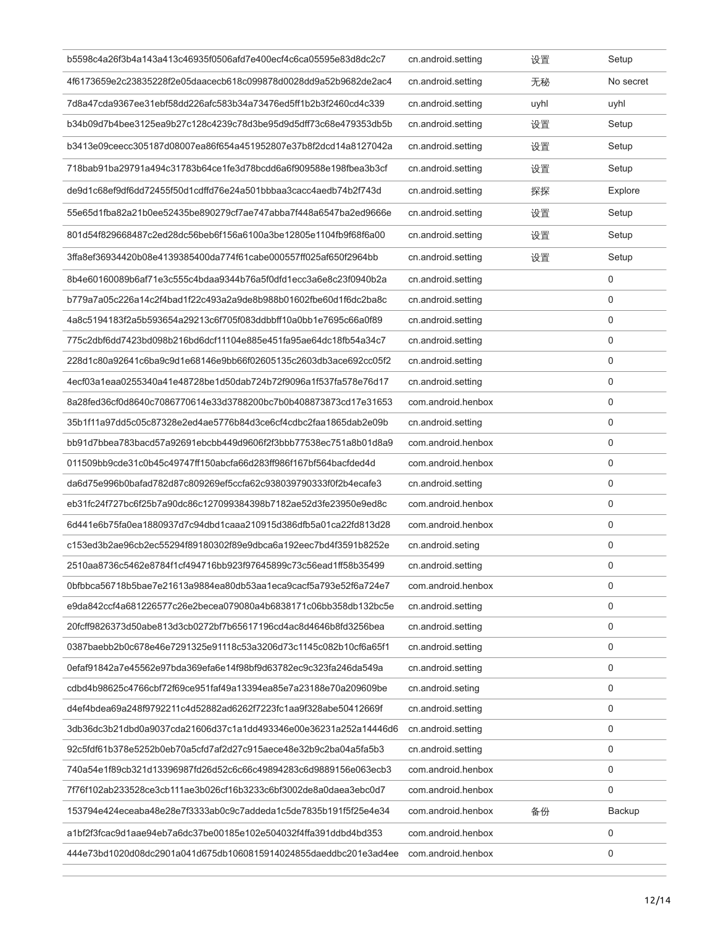| b5598c4a26f3b4a143a413c46935f0506afd7e400ecf4c6ca05595e83d8dc2c7 | cn.android.setting | 设置   | Setup       |
|------------------------------------------------------------------|--------------------|------|-------------|
| 4f6173659e2c23835228f2e05daacecb618c099878d0028dd9a52b9682de2ac4 | cn.android.setting | 无秘   | No secret   |
| 7d8a47cda9367ee31ebf58dd226afc583b34a73476ed5ff1b2b3f2460cd4c339 | cn.android.setting | uyhl | uyhl        |
| b34b09d7b4bee3125ea9b27c128c4239c78d3be95d9d5dff73c68e479353db5b | cn.android.setting | 设置   | Setup       |
| b3413e09ceecc305187d08007ea86f654a451952807e37b8f2dcd14a8127042a | cn.android.setting | 设置   | Setup       |
| 718bab91ba29791a494c31783b64ce1fe3d78bcdd6a6f909588e198fbea3b3cf | cn.android.setting | 设置   | Setup       |
| de9d1c68ef9df6dd72455f50d1cdffd76e24a501bbbaa3cacc4aedb74b2f743d | cn.android.setting | 探探   | Explore     |
| 55e65d1fba82a21b0ee52435be890279cf7ae747abba7f448a6547ba2ed9666e | cn.android.setting | 设置   | Setup       |
| 801d54f829668487c2ed28dc56beb6f156a6100a3be12805e1104fb9f68f6a00 | cn.android.setting | 设置   | Setup       |
| 3ffa8ef36934420b08e4139385400da774f61cabe000557ff025af650f2964bb | cn.android.setting | 设置   | Setup       |
| 8b4e60160089b6af71e3c555c4bdaa9344b76a5f0dfd1ecc3a6e8c23f0940b2a | cn.android.setting |      | 0           |
| b779a7a05c226a14c2f4bad1f22c493a2a9de8b988b01602fbe60d1f6dc2ba8c | cn.android.setting |      | 0           |
| 4a8c5194183f2a5b593654a29213c6f705f083ddbbff10a0bb1e7695c66a0f89 | cn.android.setting |      | 0           |
| 775c2dbf6dd7423bd098b216bd6dcf11104e885e451fa95ae64dc18fb54a34c7 | cn.android.setting |      | $\Omega$    |
| 228d1c80a92641c6ba9c9d1e68146e9bb66f02605135c2603db3ace692cc05f2 | cn.android.setting |      | $\mathbf 0$ |
| 4ecf03a1eaa0255340a41e48728be1d50dab724b72f9096a1f537fa578e76d17 | cn.android.setting |      | $\mathbf 0$ |
| 8a28fed36cf0d8640c7086770614e33d3788200bc7b0b408873873cd17e31653 | com.android.henbox |      | $\mathbf 0$ |
| 35b1f11a97dd5c05c87328e2ed4ae5776b84d3ce6cf4cdbc2faa1865dab2e09b | cn.android.setting |      | $\mathbf 0$ |
| bb91d7bbea783bacd57a92691ebcbb449d9606f2f3bbb77538ec751a8b01d8a9 | com.android.henbox |      | $\mathbf 0$ |
| 011509bb9cde31c0b45c49747ff150abcfa66d283ff986f167bf564bacfded4d | com.android.henbox |      | 0           |
| da6d75e996b0bafad782d87c809269ef5ccfa62c938039790333f0f2b4ecafe3 | cn.android.setting |      | 0           |
| eb31fc24f727bc6f25b7a90dc86c127099384398b7182ae52d3fe23950e9ed8c | com.android.henbox |      | 0           |
| 6d441e6b75fa0ea1880937d7c94dbd1caaa210915d386dfb5a01ca22fd813d28 | com.android.henbox |      | 0           |
| c153ed3b2ae96cb2ec55294f89180302f89e9dbca6a192eec7bd4f3591b8252e | cn.android.seting  |      | 0           |
| 2510aa8736c5462e8784f1cf494716bb923f97645899c73c56ead1ff58b35499 | cn.android.setting |      | $\mathbf 0$ |
| 0bfbbca56718b5bae7e21613a9884ea80db53aa1eca9cacf5a793e52f6a724e7 | com.android.henbox |      | 0           |
| e9da842ccf4a681226577c26e2becea079080a4b6838171c06bb358db132bc5e | cn.android.setting |      | 0           |
| 20fcff9826373d50abe813d3cb0272bf7b65617196cd4ac8d4646b8fd3256bea | cn.android.setting |      | 0           |
| 0387baebb2b0c678e46e7291325e91118c53a3206d73c1145c082b10cf6a65f1 | cn.android.setting |      | 0           |
| 0efaf91842a7e45562e97bda369efa6e14f98bf9d63782ec9c323fa246da549a | cn.android.setting |      | 0           |
| cdbd4b98625c4766cbf72f69ce951faf49a13394ea85e7a23188e70a209609be | cn.android.seting  |      | 0           |
| d4ef4bdea69a248f9792211c4d52882ad6262f7223fc1aa9f328abe50412669f | cn.android.setting |      | 0           |
| 3db36dc3b21dbd0a9037cda21606d37c1a1dd493346e00e36231a252a14446d6 | cn.android.setting |      | 0           |
| 92c5fdf61b378e5252b0eb70a5cfd7af2d27c915aece48e32b9c2ba04a5fa5b3 | cn.android.setting |      | 0           |
| 740a54e1f89cb321d13396987fd26d52c6c66c49894283c6d9889156e063ecb3 | com.android.henbox |      | 0           |
| 7f76f102ab233528ce3cb111ae3b026cf16b3233c6bf3002de8a0daea3ebc0d7 | com.android.henbox |      | 0           |
| 153794e424eceaba48e28e7f3333ab0c9c7addeda1c5de7835b191f5f25e4e34 | com.android.henbox | 备份   | Backup      |
| a1bf2f3fcac9d1aae94eb7a6dc37be00185e102e504032f4ffa391ddbd4bd353 | com.android.henbox |      | 0           |
| 444e73bd1020d08dc2901a041d675db1060815914024855daeddbc201e3ad4ee | com.android.henbox |      | 0           |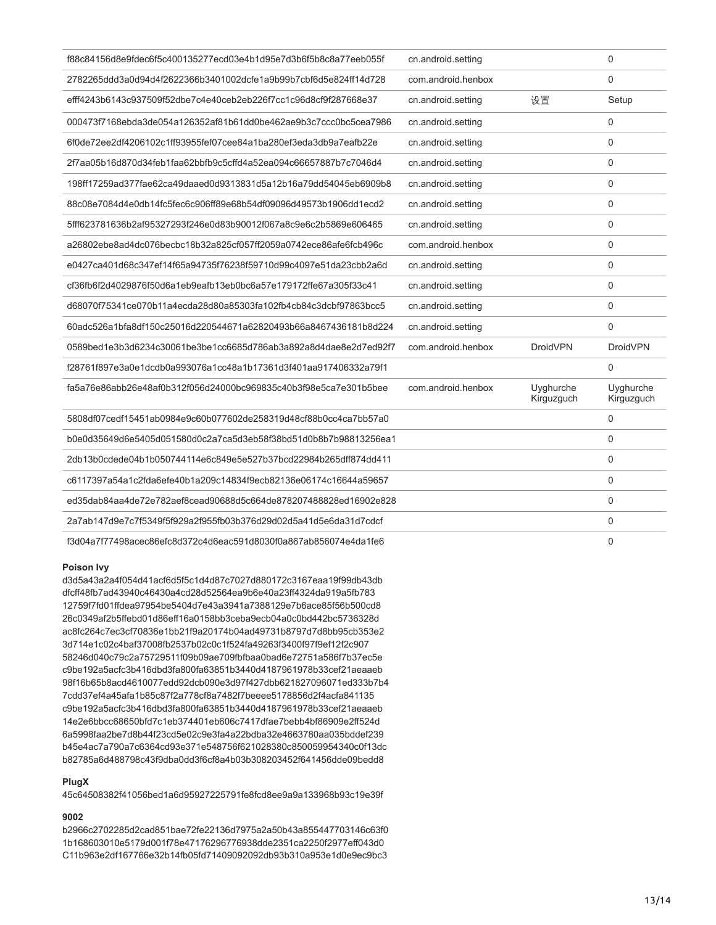| f88c84156d8e9fdec6f5c400135277ecd03e4b1d95e7d3b6f5b8c8a77eeb055f | cn.android.setting |                         | 0                       |
|------------------------------------------------------------------|--------------------|-------------------------|-------------------------|
| 2782265ddd3a0d94d4f2622366b3401002dcfe1a9b99b7cbf6d5e824ff14d728 | com android henbox |                         | $\Omega$                |
| efff4243b6143c937509f52dbe7c4e40ceb2eb226f7cc1c96d8cf9f287668e37 | cn.android.setting | 设置                      | Setup                   |
| 000473f7168ebda3de054a126352af81b61dd0be462ae9b3c7ccc0bc5cea7986 | cn.android.setting |                         | 0                       |
| 6f0de72ee2df4206102c1ff93955fef07cee84a1ba280ef3eda3db9a7eafb22e | cn.android.setting |                         | 0                       |
| 2f7aa05b16d870d34feb1faa62bbfb9c5cffd4a52ea094c66657887b7c7046d4 | cn.android.setting |                         | 0                       |
| 198ff17259ad377fae62ca49daaed0d9313831d5a12b16a79dd54045eb6909b8 | cn.android.setting |                         | 0                       |
| 88c08e7084d4e0db14fc5fec6c906ff89e68b54df09096d49573b1906dd1ecd2 | cn.android.setting |                         | $\Omega$                |
| 5fff623781636b2af95327293f246e0d83b90012f067a8c9e6c2b5869e606465 | cn.android.setting |                         | 0                       |
| a26802ebe8ad4dc076becbc18b32a825cf057ff2059a0742ece86afe6fcb496c | com.android.henbox |                         | 0                       |
| e0427ca401d68c347ef14f65a94735f76238f59710d99c4097e51da23cbb2a6d | cn.android.setting |                         | 0                       |
| cf36fb6f2d4029876f50d6a1eb9eafb13eb0bc6a57e179172ffe67a305f33c41 | cn.android.setting |                         | 0                       |
| d68070f75341ce070b11a4ecda28d80a85303fa102fb4cb84c3dcbf97863bcc5 | cn.android.setting |                         | 0                       |
| 60adc526a1bfa8df150c25016d220544671a62820493b66a8467436181b8d224 | cn.android.setting |                         | 0                       |
| 0589bed1e3b3d6234c30061be3be1cc6685d786ab3a892a8d4dae8e2d7ed92f7 | com.android.henbox | <b>DroidVPN</b>         | <b>DroidVPN</b>         |
| f28761f897e3a0e1dcdb0a993076a1cc48a1b17361d3f401aa917406332a79f1 |                    |                         | 0                       |
| fa5a76e86abb26e48af0b312f056d24000bc969835c40b3f98e5ca7e301b5bee | com.android.henbox | Uyghurche<br>Kirguzguch | Uyghurche<br>Kirguzguch |
| 5808df07cedf15451ab0984e9c60b077602de258319d48cf88b0cc4ca7bb57a0 |                    |                         | 0                       |
| b0e0d35649d6e5405d051580d0c2a7ca5d3eb58f38bd51d0b8b7b98813256ea1 |                    |                         | 0                       |
| 2db13b0cdede04b1b050744114e6c849e5e527b37bcd22984b265dff874dd411 |                    |                         | 0                       |
| c6117397a54a1c2fda6efe40b1a209c14834f9ecb82136e06174c16644a59657 |                    |                         | 0                       |
| ed35dab84aa4de72e782aef8cead90688d5c664de878207488828ed16902e828 |                    |                         | 0                       |
| 2a7ab147d9e7c7f5349f5f929a2f955fb03b376d29d02d5a41d5e6da31d7cdcf |                    |                         | 0                       |
| f3d04a7f77498acec86efc8d372c4d6eac591d8030f0a867ab856074e4da1fe6 |                    |                         | 0                       |

# **Poison Ivy**

d3d5a43a2a4f054d41acf6d5f5c1d4d87c7027d880172c3167eaa19f99db43db dfcff48fb7ad43940c46430a4cd28d52564ea9b6e40a23ff4324da919a5fb783 12759f7fd01ffdea97954be5404d7e43a3941a7388129e7b6ace85f56b500cd8 26c0349af2b5ffebd01d86eff16a0158bb3ceba9ecb04a0c0bd442bc5736328d ac8fc264c7ec3cf70836e1bb21f9a20174b04ad49731b8797d7d8bb95cb353e2 3d714e1c02c4baf37008fb2537b02c0c1f524fa49263f3400f97f9ef12f2c907 58246d040c79c2a75729511f09b09ae709fbfbaa0bad6e72751a586f7b37ec5e c9be192a5acfc3b416dbd3fa800fa63851b3440d4187961978b33cef21aeaaeb 98f16b65b8acd4610077edd92dcb090e3d97f427dbb621827096071ed333b7b4 7cdd37ef4a45afa1b85c87f2a778cf8a7482f7beeee5178856d2f4acfa841135 c9be192a5acfc3b416dbd3fa800fa63851b3440d4187961978b33cef21aeaaeb 14e2e6bbcc68650bfd7c1eb374401eb606c7417dfae7bebb4bf86909e2ff524d 6a5998faa2be7d8b44f23cd5e02c9e3fa4a22bdba32e4663780aa035bddef239 b45e4ac7a790a7c6364cd93e371e548756f621028380c850059954340c0f13dc b82785a6d488798c43f9dba0dd3f6cf8a4b03b308203452f641456dde09bedd8

#### **PlugX**

45c64508382f41056bed1a6d95927225791fe8fcd8ee9a9a133968b93c19e39f

# **9002**

b2966c2702285d2cad851bae72fe22136d7975a2a50b43a855447703146c63f0 1b168603010e5179d001f78e47176296776938dde2351ca2250f2977eff043d0 C11b963e2df167766e32b14fb05fd71409092092db93b310a953e1d0e9ec9bc3